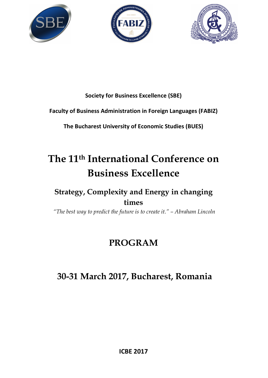





### **Society for Business Excellence (SBE)**

#### **Faculty of Business Administration in Foreign Languages (FABIZ)**

**The Bucharest University of Economic Studies (BUES)**

# **The 11th International Conference on Business Excellence**

## **Strategy, Complexity and Energy in changing times**

 *"The best way to predict the future is to create it." – Abraham Lincoln* 

# **PROGRAM**

# **30-31 March 2017, Bucharest, Romania**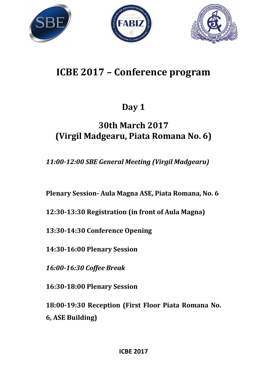





# **ICBE 2017 – Conference program**

# **Day 1**

# **30th March 2017 (Virgil Madgearu, Piata Romana No. 6)**

*11:00-12:00 SBE General Meeting (Virgil Madgearu)* 

**Plenary Session- Aula Magna ASE, Piata Romana, No. 6** 

**12:30-13:30 Registration (in front of Aula Magna)** 

**13:30-14:30 Conference Opening** 

**14:30-16:00 Plenary Session** 

*16:00-16:30 Coffee Break* 

**16:30-18:00 Plenary Session** 

**18:00-19:30 Reception (First Floor Piata Romana No. 6, ASE Building)**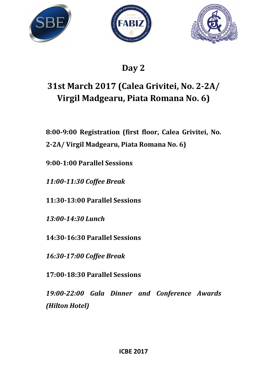





# **Day 2**

# **31st March 2017 (Calea Grivitei, No. 2-2A/ Virgil Madgearu, Piata Romana No. 6)**

**8:00-9:00 Registration (first floor, Calea Grivitei, No.** 

**2-2A/ Virgil Madgearu, Piata Romana No. 6)** 

**9:00-1:00 Parallel Sessions** 

*11:00-11:30 Coffee Break* 

**11:30-13:00 Parallel Sessions** 

*13:00-14:30 Lunch* 

**14:30-16:30 Parallel Sessions** 

*16:30-17:00 Coffee Break* 

**17:00-18:30 Parallel Sessions** 

*19:00-22:00 Gala Dinner and Conference Awards (Hilton Hotel)*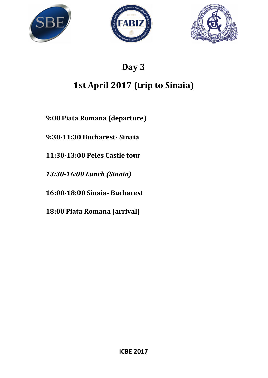





# **Day 3**

# **1st April 2017 (trip to Sinaia)**

**9:00 Piata Romana (departure)** 

**9:30-11:30 Bucharest- Sinaia** 

**11:30-13:00 Peles Castle tour** 

*13:30-16:00 Lunch (Sinaia)* 

**16:00-18:00 Sinaia- Bucharest** 

**18:00 Piata Romana (arrival)**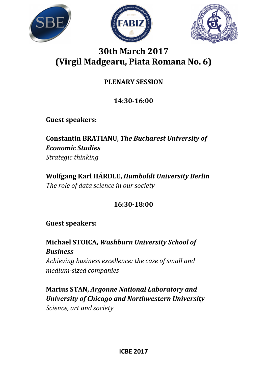





## **30th March 2017 (Virgil Madgearu, Piata Romana No. 6)**

## **PLENARY SESSION**

## **14:30-16:00**

**Guest speakers:** 

**Constantin BRATIANU,** *The Bucharest University of Economic Studies Strategic thinking* 

**Wolfgang Karl HÄRDLE,** *Humboldt University Berlin The role of data science in our society* 

## **16:30-18:00**

**Guest speakers:** 

**Michael STOICA,** *Washburn University School of Business Achieving business excellence: the case of small and medium-sized companies* 

**Marius STAN,** *Argonne National Laboratory and University of Chicago and Northwestern University Science, art and society*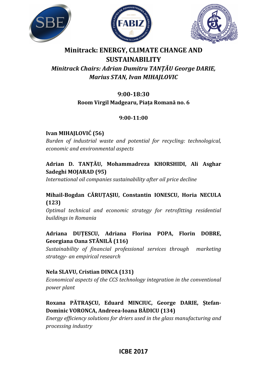





## **Minitrack: ENERGY, CLIMATE CHANGE AND SUSTAINABILITY**  *Minitrack Chairs: Adrian Dumitru TANȚĂU George DARIE, Marius STAN, Ivan MIHAJLOVIC*

### **9:00-18:30**

#### **Room Virgil Madgearu, Piața Romană no. 6**

#### **9:00-11:00**

#### **Ivan MIHAJLOVIĆ (56)**

*Burden of industrial waste and potential for recycling: technological, economic and environmental aspects* 

#### **Adrian D. TANȚĂU, Mohammadreza KHORSHIDI, Ali Asghar Sadeghi MOJARAD (95)**

*International oil companies sustainability after oil price decline* 

#### **Mihail-Bogdan CĂRUȚAȘIU, Constantin IONESCU, Horia NECULA (123)**

*Optimal technical and economic strategy for retrofitting residential buildings in Romania* 

#### **Adriana DUȚESCU, Adriana Florina POPA, Florin DOBRE, Georgiana Oana STĂNILĂ (116)**

*Sustainability of financial professional services through marketing strategy- an empirical research* 

#### **Nela SLAVU, Cristian DINCA (131)**

*Economical aspects of the CCS technology integration in the conventional power plant* 

#### **Roxana PĂTRAȘCU, Eduard MINCIUC, George DARIE, Ștefan-Dominic VORONCA, Andreea-Ioana BĂDICU (134)**

*Energy efficiency solutions for driers used in the glass manufacturing and processing industry*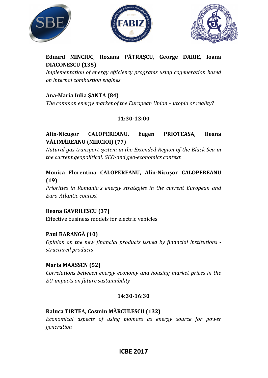





#### **Eduard MINCIUC, Roxana PĂTRAŞCU, George DARIE, Ioana DIACONESCU (135)**

*Implementation of energy efficiency programs using cogeneration based on internal combustion engines* 

#### **Ana-Maria Iulia ŞANTA (84)**

*The common energy market of the European Union – utopia or reality?* 

#### **11:30-13:00**

#### **Alin-Nicușor CALOPEREANU, Eugen PRIOTEASA, Ileana VĂLIMĂREANU (MIRCIOI) (77)**

*Natural gas transport system in the Extended Region of the Black Sea in the current geopolitical, GEO-and geo-economics context* 

#### **Monica Florentina CALOPEREANU, Alin-Nicușor CALOPEREANU (19)**

*Priorities in Romania`s energy strategies in the current European and Euro-Atlantic context* 

#### **Ileana GAVRILESCU (37)**

Effective business models for electric vehicles

#### **Paul BARANGĂ (10)**

*Opinion on the new financial products issued by financial institutions structured products –* 

#### **Maria MAASSEN (52)**

*Correlations between energy economy and housing market prices in the EU-impacts on future sustainability* 

#### **14:30-16:30**

#### **Raluca TIRTEA, Cosmin MĂRCULESCU (132)**

*Economical aspects of using biomass as energy source for power generation*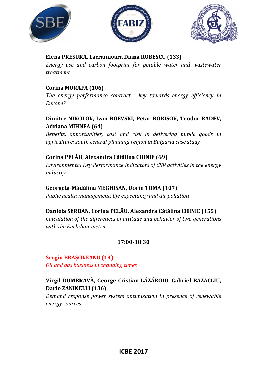





#### **Elena PRESURA, Lacramioara Diana ROBESCU (133)**

*Energy use and carbon footprint for potable water and wastewater treatment* 

#### **Corina MURAFA (106)**

*The energy performance contract - key towards energy efficiency in Europe?* 

#### **Dimitre NIKOLOV, Ivan BOEVSKI, Petar BORISOV, Teodor RADEV, Adriana MIHNEA (64)**

*Benefits, opportunities, cost and risk in delivering public goods in agriculture: south central planning region in Bulgaria case study* 

#### **Corina PELĂU, Alexandra Cătălina CHINIE (69)**

*Environmental Key Performance Indicators of CSR activities in the energy industry* 

#### **Georgeta-Mădălina MEGHIȘAN, Dorin TOMA (107)**

*Public health management: life expectancy and air pollution* 

#### **Daniela ȘERBAN, Corina PELĂU, Alexandra Cătălina CHINIE (155)**

*Calculation of the differences of attitude and behavior of two generations with the Euclidian-metric* 

#### **17:00-18:30**

# **Sergiu BRAȘOVEANU (14)**

*Oil and gas business in changing times* 

#### **Virgil DUMBRAVĂ, George Cristian LĂZĂROIU, Gabriel BAZACLIU, Dario ZANINELLI (136)**

*Demand response power system optimization in presence of renewable energy sources*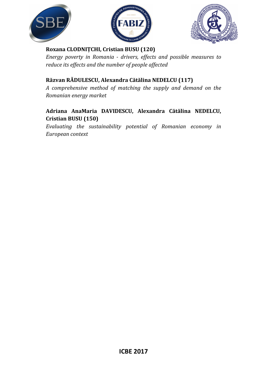





#### **Roxana CLODNIȚCHI, Cristian BUSU (120)**

*Energy poverty in Romania - drivers, effects and possible measures to reduce its effects and the number of people affected* 

#### **Răzvan RĂDULESCU, Alexandra Cătălina NEDELCU (117)**

*A comprehensive method of matching the supply and demand on the Romanian energy market* 

#### **Adriana AnaMaria DAVIDESCU, Alexandra Cătălina NEDELCU, Cristian BUSU (150)**

*Evaluating the sustainability potential of Romanian economy in European context*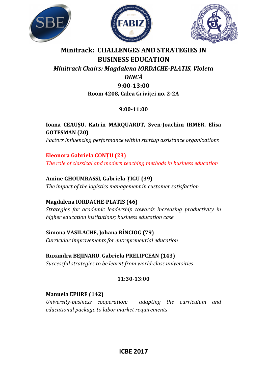





### **Minitrack: CHALLENGES AND STRATEGIES IN BUSINESS EDUCATION**  *Minitrack Chairs: Magdalena IORDACHE-PLATIS, Violeta DINCĂ*

## **9:00-13:00 Room 4208, Calea Griviței no. 2-2A**

#### **9:00-11:00**

## **Ioana CEAUȘU, Katrin MARQUARDT, Sven-Joachim IRMER, Elisa GOTESMAN (20)**

*Factors influencing performance within startup assistance organizations* 

## **Eleonora Gabriela CONȚU (23)**

*The role of classical and modern teaching methods in business education* 

## **Amine GHOUMRASSI, Gabriela ȚIGU (39)**

*The impact of the logistics management in customer satisfaction* 

#### **Magdalena IORDACHE-PLATIS (46)**

*Strategies for academic leadership towards increasing productivity in higher education institutions; business education case* 

#### **Simona VASILACHE, Johana RÎNCIOG (79)**  *Curricular improvements for entrepreneurial education*

## **Ruxandra BEJINARU, Gabriela PRELIPCEAN (143)**

*Successful strategies to be learnt from world-class universities* 

#### **11:30-13:00**

#### **Manuela EPURE (142)**

*University-business cooperation: adapting the curriculum and educational package to labor market requirements*

### **ICBE 2017**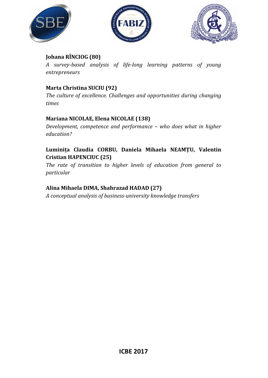





#### **Johana RÎNCIOG (80)**

*A survey-based analysis of life-long learning patterns of young entrepreneurs* 

#### **Marta Christina SUCIU (92)**

*The culture of excellence. Challenges and opportunities during changing times* 

#### **Mariana NICOLAE, Elena NICOLAE (138)**

*Development, competence and performance – who does what in higher education?* 

#### **Luminița Claudia CORBU, Daniela Mihaela NEAMŢU, Valentin Cristian HAPENCIUC (25)**

*The rate of transition to higher levels of education from general to particular* 

#### **Alina Mihaela DIMA, Shahrazad HADAD (27)**

*A conceptual analysis of business-university knowledge transfers*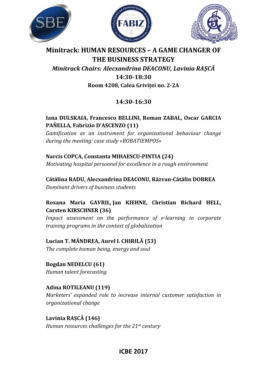





## **Minitrack: HUMAN RESOURCES – A GAME CHANGER OF THE BUSINESS STRATEGY**  *Minitrack Chairs: Alecxandrina DEACONU, Lavinia RAȘCĂ*

#### **14:30-18:30 Room 4208, Calea Griviței no. 2-2A**

## **14:30-16:30**

#### **Iana DULSKAIA, Francesco BELLINI, Roman ZABAL, Oscar GARCIA PAÑELLA***,* **Fabrizio D'ASCENZO (11)**

*Gamification as an instrument for organizational behaviour change during the meeting: case study «ROBATIEMPOS»* 

#### **Narcis COPCA, Constanta MIHAESCU-PINTIA (24)**

*Motivating hospital personnel for excellence in a rough environment* 

**Cătălina RADU, Alecxandrina DEACONU, Răzvan-Cătălin DOBREA**  *Dominant drivers of business students* 

#### **Roxana Maria GAVRIL, Jan KIEHNE, Christian Richard HELL, Carsten KIRSCHNER (36)**

*Impact assessment on the performance of e-learning in corporate training programs in the context of globalization* 

#### **Lucian T. MÂNDREA, Aurel I. CHIRILĂ (53)**

*The complete human being, energy and soul* 

**Bogdan NEDELCU (61)**  *Human talent forecasting* 

### **Adina ROTILEANU (119)**

*Marketers' expanded role to increase internal customer satisfaction in organizational change* 

**Lavinia RAȘCĂ (146)**  *Human resources challenges for the 21st century* 

### **ICBE 2017**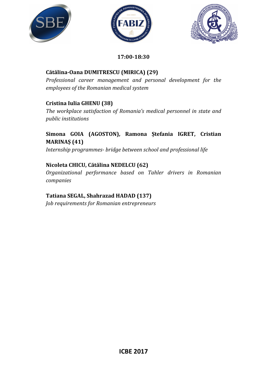





#### **17:00-18:30**

#### **Cătălina-Oana DUMITRESCU (MIRICA) (29)**

*Professional career management and personal development for the employees of the Romanian medical system* 

#### **Cristina Iulia GHENU (38)**

*The workplace satisfaction of Romania's medical personnel in state and public institutions* 

#### **Simona GOIA (AGOSTON), Ramona Ștefania IGRET, Cristian MARINAȘ (41)**

*Internship programmes- bridge between school and professional life* 

#### **Nicoleta CHICU, Cătălina NEDELCU (62)**

*Organizational performance based on Tahler drivers in Romanian companies* 

#### **Tatiana SEGAL, Shahrazad HADAD (137)**

*Job requirements for Romanian entrepreneurs*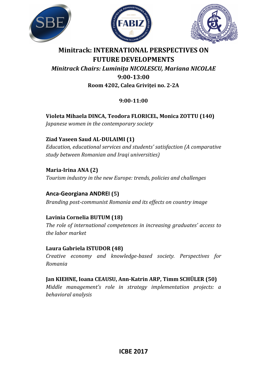





### **Minitrack: INTERNATIONAL PERSPECTIVES ON FUTURE DEVELOPMENTS**  *Minitrack Chairs: Luminița NICOLESCU, Mariana NICOLAE*  **9:00-13:00 Room 4202, Calea Griviței no. 2-2A**

#### **9:00-11:00**

**Violeta Mihaela DINCA, Teodora FLORICEL, Monica ZOTTU (140)**  *Japanese women in the contemporary society* 

**Ziad Yaseen Saud AL-DULAIMI (1)** 

*Education, educational services and students' satisfaction (A comparative study between Romanian and Iraqi universities)* 

**Maria-Irina ANA (2)**  *Tourism industry in the new Europe: trends, policies and challenges* 

#### **Anca-Georgiana ANDREI (5)**

*Branding post-communist Romania and its effects on country image* 

#### **Lavinia Cornelia BUTUM (18)**

*The role of international competences in increasing graduates' access to the labor market* 

#### **Laura Gabriela ISTUDOR (48)**

*Creative economy and knowledge-based society. Perspectives for Romania* 

**Jan KIEHNE, Ioana CEAUSU, Ann-Katrin ARP, Timm SCHÜLER (50)**  *Middle management's role in strategy implementation projects: a behavioral analysis*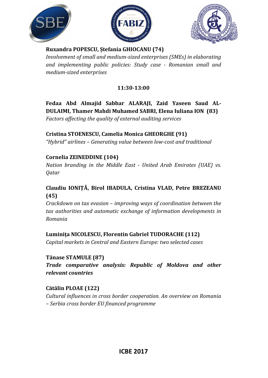





#### **Ruxandra POPESCU, Ștefania GHIOCANU (74)**

*Involvement of small and medium-sized enterprises (SMEs) in elaborating and implementing public policies: Study case - Romanian small and medium-sized enterprises* 

#### **11:30-13:00**

### **Fedaa Abd Almajid Sabbar ALARAJI, Zaid Yaseen Saud AL-DULAIMI, Thamer Mahdi Muhamed SABRI, Elena Iuliana ION (83)**

*Factors affecting the quality of external auditing services* 

#### **Cristina STOENESCU, Camelia Monica GHEORGHE (91)**

*"Hybrid" airlines – Generating value between low-cost and traditional* 

#### **Cornelia ZEINEDDINE (104)**

*Nation branding in the Middle East - United Arab Emirates (UAE) vs. Qatar* 

#### **Claudiu IONIȚĂ, Birol IBADULA, Cristina VLAD, Petre BREZEANU (45)**

*Crackdown on tax evasion – improving ways of coordination between the tax authorities and automatic exchange of information developments in Romania* 

#### **Luminiţa NICOLESCU, Florentin Gabriel TUDORACHE (112)**

*Capital markets in Central and Eastern Europe: two selected cases* 

#### **Tănase STAMULE (87)**

*Trade comparative analysis: Republic of Moldova and other relevant countries* 

#### **Cătălin PLOAE (122)**

*Cultural influences in cross border cooperation. An overview on Romania – Serbia cross border EU financed programme*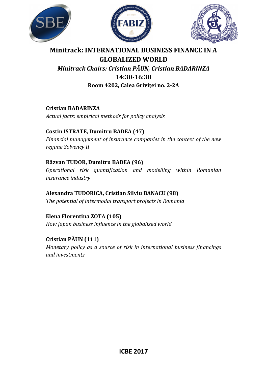





## **Minitrack: INTERNATIONAL BUSINESS FINANCE IN A GLOBALIZED WORLD**  *Minitrack Chairs: Cristian PĂUN, Cristian BADARINZA* **14:30-16:30**

**Room 4202, Calea Griviței no. 2-2A** 

**Cristian BADARINZA**  *Actual facts: empirical methods for policy analysis*

#### **Costin ISTRATE, Dumitru BADEA (47)**

*Financial management of insurance companies in the context of the new regime Solvency II* 

#### **Răzvan TUDOR, Dumitru BADEA (96)**

*Operational risk quantification and modelling within Romanian insurance industry* 

# **Alexandra TUDORICA, Cristian Silviu BANACU (98)**

*The potential of intermodal transport projects in Romania* 

## **Elena Florentina ZOTA (105)**

*How japan business influence in the globalized world*

### **Cristian PĂUN (111)**

*Monetary policy as a source of risk in international business financings and investments*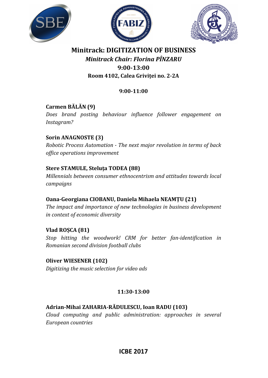





## **Minitrack: DIGITIZATION OF BUSINESS**  *Minitrack Chair: Florina PÎNZARU*  **9:00-13:00 Room 4102, Calea Griviței no. 2-2A**

#### **9:00-11:00**

#### **Carmen BĂLĂN (9)**

*Does brand posting behaviour influence follower engagement on Instagram?* 

#### **Sorin ANAGNOSTE (3)**

*Robotic Process Automation - The next major revolution in terms of back office operations improvement* 

#### **Stere STAMULE, Steluța TODEA (88)**

*Millennials between consumer ethnocentrism and attitudes towards local campaigns* 

#### **Oana-Georgiana CIOBANU, Daniela Mihaela NEAMȚU (21)**

*The impact and importance of new technologies in business development in context of economic diversity* 

#### **Vlad ROȘCA (81)**

*Stop hitting the woodwork! CRM for better fan-identification in Romanian second division football clubs* 

#### **Oliver WIESENER (102)**

*Digitizing the music selection for video ads* 

#### **11:30-13:00**

#### **Adrian-Mihai ZAHARIA-RĂDULESCU, Ioan RADU (103)**

*Cloud computing and public administration: approaches in several European countries* 

#### **ICBE 2017**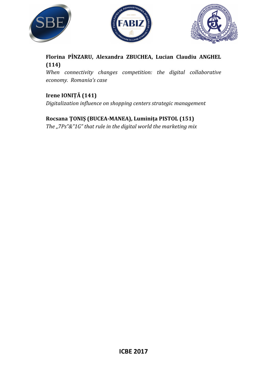





### **Florina PÎNZARU, Alexandra ZBUCHEA, Lucian Claudiu ANGHEL (114)**

*When connectivity changes competition: the digital collaborative economy. Romania's case* 

### **Irene IONIȚĂ (141)**

*Digitalization influence on shopping centers strategic management* 

### **Rocsana ŢONIȘ (BUCEA-MANEA), Luminița PISTOL (151)**

*The "7Ps"&"1G" that rule in the digital world the marketing mix*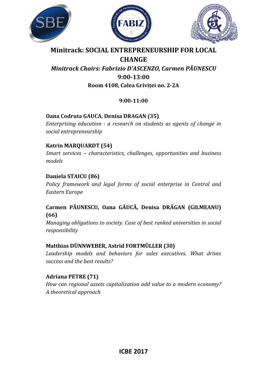





## **Minitrack: SOCIAL ENTREPRENEURSHIP FOR LOCAL**

#### **CHANGE**  *Minitrack Chairs: Fabrizio D'ASCENZO, Carmen PĂUNESCU*  **9:00-13:00 Room 4108, Calea Griviței no. 2-2A**

#### **9:00-11:00**

#### **Oana Codruta GAUCA, Denisa DRAGAN (35)**

*Enterprising education - a research on students as agents of change in social entrepreneurship* 

#### **Katrin MARQUARDT (54)**

*Smart services – characteristics, challenges, opportunities and business models* 

#### **Daniela STAICU (86)**

*Policy framework and legal forms of social enterprise in Central and Eastern Europe* 

#### **Carmen PĂUNESCU, Oana GĂUCĂ, Denisa DRĂGAN (GILMEANU) (66)**

*Managing obligations to society. Case of best ranked universities in social responsibility* 

#### **Matthias DÜNNWEBER, Astrid FORTMÜLLER (30)**

*Leadership models and behaviors for sales executives. What drives success and the best results?* 

#### **Adriana PETRE (71)**

*How can regional assets capitalization add value to a modern economy? A theoretical approach*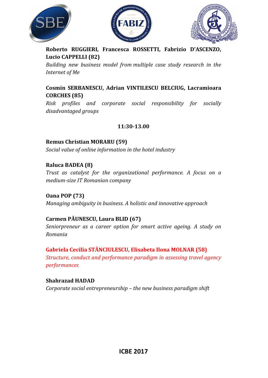





**Roberto RUGGIERI, Francesca ROSSETTI, Fabrizio D'ASCENZO, Lucio CAPPELLI (82)**

*Building new business model from multiple case study research in the Internet of Me* 

#### **Cosmin SERBANESCU, Adrian VINTILESCU BELCIUG, Lacramioara CORCHES (85)**

*Risk profiles and corporate social responsibility for socially disadvantaged groups* 

#### **11:30-13.00**

**Remus Christian MORARU (59)** *Social value of online information in the hotel industry* 

**Raluca BADEA (8)** 

*Trust as catalyst for the organizational performance. A focus on a medium-size IT Romanian company* 

**Oana POP (73)**  *Managing ambiguity in business. A holistic and innovative approach* 

#### **Carmen PĂUNESCU, Laura BLID (67)**

*Seniorpreneur as a career option for smart active ageing. A study on Romania* 

#### **Gabriela Cecilia STĂNCIULESCU, Elisabeta Ilona MOLNAR (58)**

*Structure, conduct and performance paradigm in assessing travel agency performances* 

#### **Shahrazad HADAD**

*Corporate social entrepreneurship – the new business paradigm shift*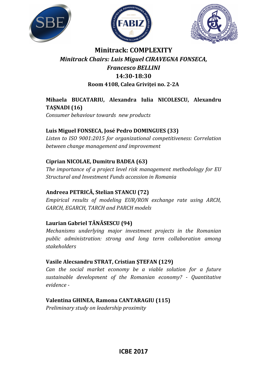





## **Minitrack: COMPLEXITY**  *Minitrack Chairs: Luis Miguel CIRAVEGNA FONSECA, Francesco BELLINI*  **14:30-18:30 Room 4108, Calea Griviței no. 2-2A**

#### **Mihaela BUCATARIU, Alexandra Iulia NICOLESCU, Alexandru TAȘNADI (16)**

*Consumer behaviour towards new products* 

#### **Luis Miguel FONSECA, José Pedro DOMINGUES (33)**

*Listen to ISO 9001:2015 for organizational competitiveness: Correlation between change management and improvement* 

#### **Ciprian NICOLAE, Dumitru BADEA (63)**

*The importance of a project level risk management methodology for EU Structural and Investment Funds accession in Romania* 

#### **Andreea PETRICĂ, Stelian STANCU (72)**

*Empirical results of modeling EUR/RON exchange rate using ARCH, GARCH, EGARCH, TARCH and PARCH models* 

#### **Laurian Gabriel TĂNĂSESCU (94)**

*Mechanisms underlying major investment projects in the Romanian public administration: strong and long term collaboration among stakeholders* 

#### **Vasile Alecsandru STRAT, Cristian ȘTEFAN (129)**

*Can the social market economy be a viable solution for a future sustainable development of the Romanian economy? - Quantitative evidence -* 

#### **Valentina GHINEA, Ramona CANTARAGIU (115)**

*Preliminary study on leadership proximity*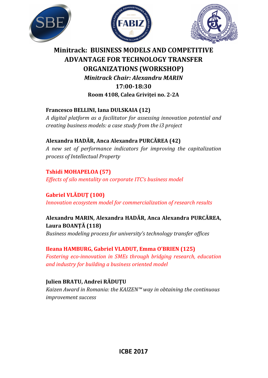





## **Minitrack: BUSINESS MODELS AND COMPETITIVE ADVANTAGE FOR TECHNOLOGY TRANSFER ORGANIZATIONS (WORKSHOP)**  *Minitrack Chair: Alexandru MARIN*  **17:00-18:30 Room 4108, Calea Griviței no. 2-2A**

#### **Francesco BELLINI, Iana DULSKAIA (12)**

*A digital platform as a facilitator for assessing innovation potential and creating business models: a case study from the i3 project* 

#### **Alexandra HADĂR, Anca Alexandra PURCĂREA (42)**

*A new set of performance indicators for improving the capitalization process of Intellectual Property* 

#### **Tshidi MOHAPELOA (57)**

*Effects of silo mentality on corporate ITC's business model* 

### **Gabriel VLĂDUŢ (100)**

*Innovation ecosystem model for commercialization of research results* 

#### **Alexandru MARIN, Alexandra HADĂR, Anca Alexandra PURCĂREA, Laura BOANȚĂ (118)**

*Business modeling process for university's technology transfer offices* 

#### **Ileana HAMBURG, Gabriel VLADUT, Emma O'BRIEN (125)**

*Fostering eco-innovation in SMEs through bridging research, education and industry for building a business oriented model*

#### **Julien BRATU, Andrei RĂDUȚU**

*Kaizen Award in Romania: the KAIZEN™ way in obtaining the continuous improvement success*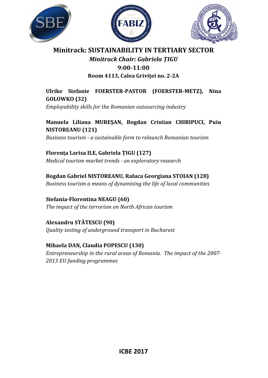





## **Minitrack: SUSTAINABILITY IN TERTIARY SECTOR** *Minitrack Chair: Gabriela ȚIGU*  **9:00-11:00**

#### **Room 4113, Calea Griviței no. 2-2A**

**Ulrike Stefanie FOERSTER-PASTOR (FOERSTER-METZ), Nina GOLOWKO (32)**

*Employability skills for the Romanian outsourcing industry* 

**Manuela Liliana MUREȘAN, Bogdan Cristian CHIRIPUCI, Puiu NISTOREANU (121)** 

*Business tourism - a sustainable form to relaunch Romanian tourism* 

**Florența Larisa ILE, Gabriela ȚIGU (127)**  *Medical tourism market trends - an exploratory research* 

**Bogdan Gabriel NISTOREANU, Raluca Georgiana STOIAN (128)**  *Business tourism a means of dynamising the life of local communities* 

**Stefania-Florentina NEAGU (60)**  *The impact of the terrorism on North African tourism* 

**Alexandru STĂTESCU (90)**  *Quality testing of underground transport in Bucharest* 

**Mihaela DAN, Claudia POPESCU (130)**  *Entrepreneurship in the rural areas of Romania. The impact of the 2007- 2013 EU funding programmes*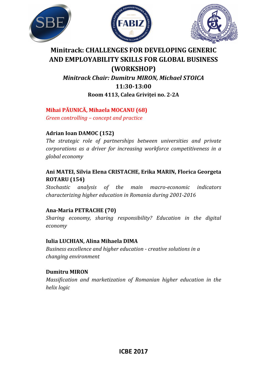





## **Minitrack: CHALLENGES FOR DEVELOPING GENERIC AND EMPLOYABILITY SKILLS FOR GLOBAL BUSINESS (WORKSHOP)**

*Minitrack Chair: Dumitru MIRON, Michael STOICA*  **11:30-13:00 Room 4113, Calea Griviței no. 2-2A** 

#### **Mihai PĂUNICĂ, Mihaela MOCANU (68)**

*Green controlling – concept and practice* 

#### **Adrian Ioan DAMOC (152)**

*The strategic role of partnerships between universities and private corporations as a driver for increasing workforce competitiveness in a global economy* 

#### **Ani MATEI, Silvia Elena CRISTACHE, Erika MARIN, Florica Georgeta ROTARU (154)**

*Stochastic analysis of the main macro-economic indicators characterizing higher education in Romania during 2001-2016* 

#### **Ana-Maria PETRACHE (70)**

*Sharing economy, sharing responsibility? Education in the digital economy* 

#### **Iulia LUCHIAN, Alina Mihaela DIMA**

*Business excellence and higher education - creative solutions in a changing environment* 

#### **Dumitru MIRON**

*Massification and marketization of Romanian higher education in the helix logic*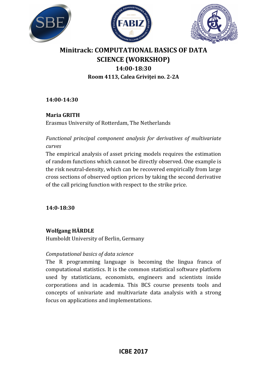





## **Minitrack: COMPUTATIONAL BASICS OF DATA SCIENCE (WORKSHOP) 14:00-18:30 Room 4113, Calea Griviței no. 2-2A**

**14:00-14:30** 

#### **Maria GRITH**

Erasmus University of Rotterdam, The Netherlands

*Functional principal component analysis for derivatives of multivariate curves* 

The empirical analysis of asset pricing models requires the estimation of random functions which cannot be directly observed. One example is the risk neutral-density, which can be recovered empirically from large cross sections of observed option prices by taking the second derivative of the call pricing function with respect to the strike price.

**14:0-18:30** 

#### **Wolfgang HÄRDLE**

Humboldt University of Berlin, Germany

#### *Computational basics of data science*

The R programming language is becoming the lingua franca of computational statistics. It is the common statistical software platform used by statisticians, economists, engineers and scientists inside corporations and in academia. This BCS course presents tools and concepts of univariate and multivariate data analysis with a strong focus on applications and implementations.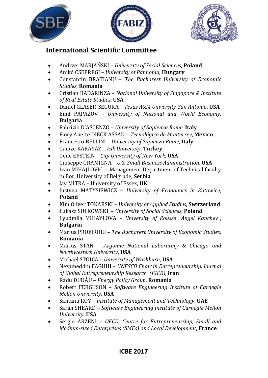





## **International Scientific Committee**

- Andrzej MARJAŃSKI *University of Social Sciences*, **Poland**
- Anikó CSEPREGI *University of Pannonia*, **Hungary**
- Constantin BRATIANU *The Bucharest University of Economic Studies*, **Romania**
- Cristian BADARINZA *National University of Singapore & Institute of Real Estate Studies*, **USA**
- Daniel GLASER-SEGURA *Texas A&M University-San Antonio*, **USA**
- Emil PAPAZOV *University of National and World Economy*, **Bulgaria**
- Fabrizio D'ASCENZO *University of Sapienza Rome*, **Italy**
- Flory Anette DIECK ASSAD *Tecnológico de Monterrey*, **Mexico**
- Francesco BELLINI *University of Sapienza Rome*, **Italy**
- Gamze KARAYAZ *Isik University*, **Turkey**
- Gene EPSTEIN *City University of New York*, **USA**
- Giuseppe GRAMIGNA *U.S. Small Business Administration*, **USA**
- Ivan MIHAJLOVIC Management Department of Technical faculty in Bor, University of Belgrade, **Serbia**
- Jay MITRA University of Essex, **UK**
- Justyna MATYSIEWICZ *University of Economics in Katowice*, **Poland**
- Kim Oliver TOKARSKI *University of Applied Studies*, **Switzerland**
- Łukasz SUŁKOWSKI *University of Social Sciences*, **Poland**
- Lyudmila MIHAYLOVA *University of Rousse "Angel Kanchev"*, **Bulgaria**
- Marius PROFIROIU *The Bucharest University of Economic Studies*, **Romania**
- Marius STAN *Argonne National Laboratory & Chicago and Northwestern University*, **USA**
- Michael STOICA *University of Washburn*, **USA**
- Nezameddin FAGHIH *UNESCO Chair in Entrepreneurship, Journal of Global Entrepreneurship Research (JGER)*, **Iran**
- Radu DUDĂU *Energy Policy Group*, **Romania**
- Robert FERGUSON *Software Engineering Institute of Carnegie Mellon University*, **USA**
- Santanu ROY *Institute of Management and Technology*, **UAE**
- Sarah SHEARD *Software Engineering Institute of Carnegie Mellon University*, **USA**
- Sergio ARZENI *OECD, Centre for Entrepreneurship, Small and Medium-sized Enterprises (SMEs) and Local Development*, **France**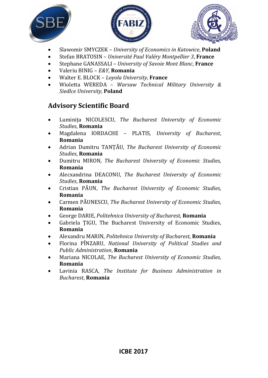





- Slawomir SMYCZEK *University of Economics in Katowice*, **Poland**
- Stefan BRATOSIN *Université Paul Valéry Montpellier 3*, **France**
- Stephane GANASSALI *University of Savoie Mont Blanc*, **France**
- Valeriu BINIG *E&Y*, **Romania**
- Walter E. BLOCK *Loyola University*, **France**
- Wioletta WEREDA *Warsaw Technical Military University & Siedlce University*, **Poland**

## **Advisory Scientific Board**

- Luminița NICOLESCU, *The Bucharest University of Economic Studies*, **Romania**
- Magdalena IORDACHE PLATIS, *University of Bucharest*, **Romania**
- Adrian Dumitru TANŢĂU, *The Bucharest University of Economic Studies*, **Romania**
- Dumitru MIRON, *The Bucharest University of Economic Studies*, **Romania**
- Alecxandrina DEACONU, *The Bucharest University of Economic Studies*, **Romania**
- Cristian PĂUN, *The Bucharest University of Economic Studies*, **Romania**
- Carmen PĂUNESCU, *The Bucharest University of Economic Studies*, **Romania**
- George DARIE, *Politehnica University of Bucharest*, **Romania**
- Gabriela ȚIGU, The Bucharest University of Economic Studies, **Romania**
- Alexandru MARIN, *Politehnica University of Bucharest*, **Romania**
- Florina PÎNZARU, *National University of Political Studies and Public Administration*, **Romania**
- Mariana NICOLAE, *The Bucharest University of Economic Studies*, **Romania**
- Lavinia RASCA, *The Institute for Business Administration in Bucharest*, **Romania**